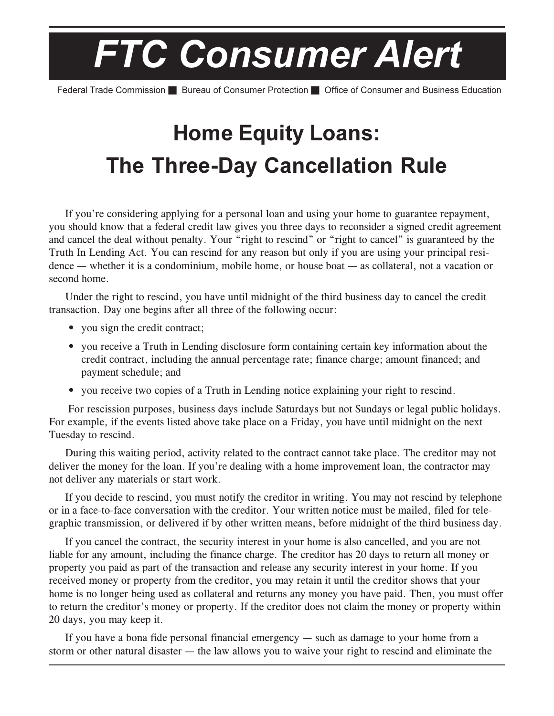## **FTC Consumer Alert**

Federal Trade Commission **De Bureau of Consumer Protection De Office of Consumer and Business Education** 

## **Home Equity Loans: The Three-Day Cancellation Rule**

If you're considering applying for a personal loan and using your home to guarantee repayment, you should know that a federal credit law gives you three days to reconsider a signed credit agreement and cancel the deal without penalty. Your "right to rescind" or "right to cancel" is guaranteed by the Truth In Lending Act. You can rescind for any reason but only if you are using your principal resi- $\theta$  dence — whether it is a condominium, mobile home, or house boat — as collateral, not a vacation or second home.

Under the right to rescind, you have until midnight of the third business day to cancel the credit transaction. Day one begins after all three of the following occur:

- you sign the credit contract;
- you receive a Truth in Lending disclosure form containing certain key information about the credit contract, including the annual percentage rate; finance charge; amount financed; and payment schedule; and
- you receive two copies of a Truth in Lending notice explaining your right to rescind.

For rescission purposes, business days include Saturdays but not Sundays or legal public holidays. For example, if the events listed above take place on a Friday, you have until midnight on the next Tuesday to rescind.

During this waiting period, activity related to the contract cannot take place. The creditor may not deliver the money for the loan. If you're dealing with a home improvement loan, the contractor may not deliver any materials or start work.

If you decide to rescind, you must notify the creditor in writing. You may not rescind by telephone or in a face-to-face conversation with the creditor. Your written notice must be mailed, filed for telegraphic transmission, or delivered if by other written means, before midnight of the third business day.

If you cancel the contract, the security interest in your home is also cancelled, and you are not liable for any amount, including the finance charge. The creditor has 20 days to return all money or property you paid as part of the transaction and release any security interest in your home. If you received money or property from the creditor, you may retain it until the creditor shows that your home is no longer being used as collateral and returns any money you have paid. Then, you must offer to return the creditor's money or property. If the creditor does not claim the money or property within 20 days, you may keep it.

If you have a bona fide personal financial emergency  $-$  such as damage to your home from a storm or other natural disaster  $-$  the law allows you to waive your right to rescind and eliminate the